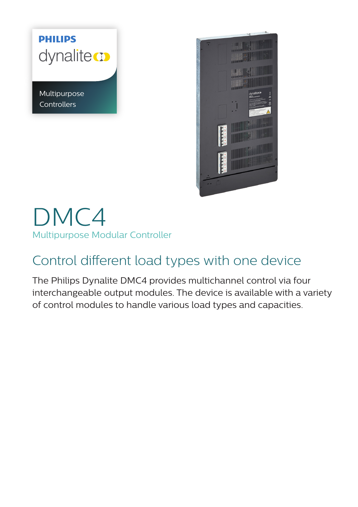# **PHILIPS** dynalite co

Multipurpose **Controllers** 



# DMC4 Multipurpose Modular Controller

# Control different load types with one device

The Philips Dynalite DMC4 provides multichannel control via four interchangeable output modules. The device is available with a variety of control modules to handle various load types and capacities.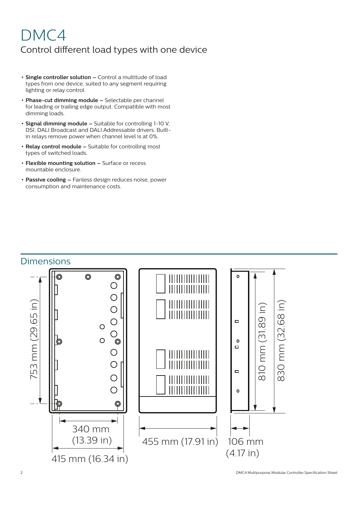## DMC4 Control different load types with one device

- **• Single controller solution –** Control a multitude of load types from one device, suited to any segment requiring lighting or relay control.
- **• Phase-cut dimming module –** Selectable per channel for leading or trailing edge output. Compatible with most dimming loads.
- **• Signal dimming module –** Suitable for controlling 1-10 V, DSI, DALI Broadcast and DALI Addressable drivers. Builtin relays remove power when channel level is at 0%.
- **• Relay control module –** Suitable for controlling most types of switched loads.
- **• Flexible mounting solution –** Surface or recess mountable enclosure.
- **• Passive cooling –** Fanless design reduces noise, power consumption and maintenance costs.

#### **Dimensions**



2 DMC4 Multipurpose Modular Controller Specification Sheet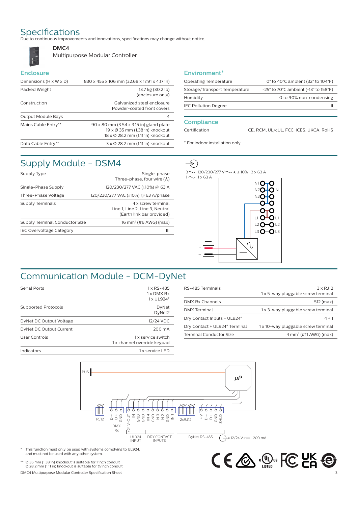**DMC4**

Specifications<br>Due to continuous improvements and innovations, specifications may change without notice.



Multipurpose Modular Controller

#### **Enclosure**

| Dimensions (H x W x D) | 830 x 455 x 106 mm (32.68 x 17.91 x 4.17 in)                                                                    |
|------------------------|-----------------------------------------------------------------------------------------------------------------|
| Packed Weight          | 13.7 kg (30.2 lb)<br>(enclosure only)                                                                           |
| Construction           | Galvanized steel enclosure<br>Powder-coated front covers                                                        |
| Output Module Bays     | 4                                                                                                               |
| Mains Cable Entry**    | 90 x 80 mm (3.54 x 3.15 in) gland plate<br>19 x Ø 35 mm (1.38 in) knockout<br>18 x Ø 28.2 mm (1.11 in) knockout |
| Data Cable Entry**     | $3 \times \emptyset$ 28.2 mm (1.11 in) knockout                                                                 |

#### **Environment\***

| <b>Operating Temperature</b>  | 0 $\degree$ to 40 $\degree$ C ambient (32 $\degree$ to 104 $\degree$ F)     |
|-------------------------------|-----------------------------------------------------------------------------|
| Storage/Transport Temperature | $-25^\circ$ to 70 $^{\circ}$ C ambient (-13 $^{\circ}$ to 158 $^{\circ}$ F) |
| Humidity                      | 0 to 90% non-condensing                                                     |
| <b>IEC Pollution Degree</b>   |                                                                             |
|                               |                                                                             |

#### **Compliance**

Certification CE, RCM, UL/cUL, FCC, ICES, UKCA, RoHS

#### \* For indoor installation only

### Supply Module - DSM4

| Supply Type                     | Single-phase<br>Three-phase, four wire $(\lambda)$                                 |
|---------------------------------|------------------------------------------------------------------------------------|
| Single-Phase Supply             | 120/230/277 VAC (±10%) @ 63 A                                                      |
| Three-Phase Voltage             | 120/230/277 VAC (±10%) @ 63 A/phase                                                |
| Supply Terminals                | 4 x screw terminal<br>Line 1, Line 2, Line 3, Neutral<br>(Earth link bar provided) |
| Supply Terminal Conductor Size  | 16 mm <sup>2</sup> (#6 AWG) (max)                                                  |
| <b>IEC Overvoltage Category</b> | Ш                                                                                  |
|                                 |                                                                                    |



### Communication Module - DCM-DyNet

| <b>Serial Ports</b>        | $1 \times$ RS-485<br>$1x$ DMX $Rx$<br>1 x UL924*  |
|----------------------------|---------------------------------------------------|
| <b>Supported Protocols</b> | DyNet<br>DyNet2                                   |
| DyNet DC Output Voltage    | 12/24 VDC                                         |
| DyNet DC Output Current    | 200 mA                                            |
| <b>User Controls</b>       | 1 x service switch<br>1 x channel override keypad |
| Indicators                 | 1 x service LED                                   |

| $3 \times RJ12$<br>1 x 5-way pluggable screw terminal |
|-------------------------------------------------------|
| 512 (max)                                             |
| 1 x 3-way pluggable screw terminal                    |
| $4 + 1$                                               |
| 1 x 10-way pluggable screw terminal                   |
| $4 \text{ mm}^2$ (#11 AWG) (max)                      |
|                                                       |



This function must only be used with systems complying to UL924, and must not be used with any other system.

DMC4 Multipurpose Modular Controller Specification Sheet \*\* Ø 35 mm (1.38 in) knockout is suitable for 1 inch conduit Ø 28.2 mm (1.11 in) knockout is suitable for ¾ inch conduit

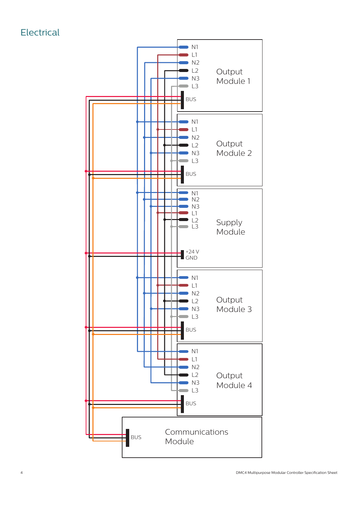**Electrical** 

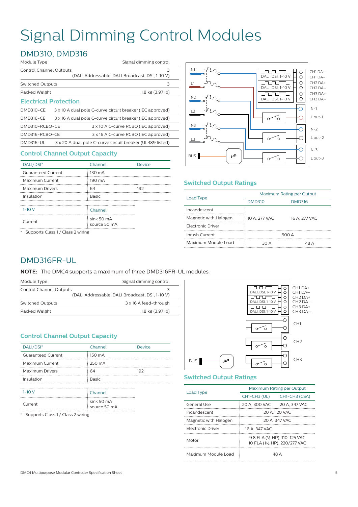# Signal Dimming Control Modules

### DMD310, DMD316

| Module Type                  | Signal dimming control |                                                           |
|------------------------------|------------------------|-----------------------------------------------------------|
| Control Channel Outputs      |                        | 3<br>(DALI Addressable, DALI Broadcast, DSI, 1-10 V)      |
| <b>Switched Outputs</b>      |                        | 3                                                         |
| Packed Weight                |                        | 1.8 kg (3.97 lb)                                          |
| <b>Electrical Protection</b> |                        |                                                           |
| <b>DMD310-CE</b>             |                        | 3 x 10 A dual pole C-curve circuit breaker (IEC approved) |
| <b>DMD316-CE</b>             |                        | 3 x 16 A dual pole C-curve circuit breaker (IEC approved) |
| DMD310-RCBO-CE               |                        | 3 x 10 A C-curve RCBO (IEC approved)                      |
| DMD316-RCBO-CE               |                        | 3 x 16 A C-curve RCBO (IEC approved)                      |
| <b>DMD316-UL</b>             |                        | 3 x 20 A dual pole C-curve circuit breaker (UL489 listed) |

#### **Control Channel Output Capacity**

| DALI/DSI*                 | Channel                    | Device |
|---------------------------|----------------------------|--------|
| <b>Guaranteed Current</b> | 130 mA                     |        |
| Maximum Current           | 190 mA                     |        |
| <b>Maximum Drivers</b>    | 64                         | 192    |
| Insulation                | <b>Basic</b>               |        |
|                           |                            |        |
| $1-10V$                   | Channel                    |        |
| Current                   | sink 50 mA<br>source 50 mA |        |

\* Supports Class 1 / Class 2 wiring



#### **Switched Output Ratings**

| Load Type                             | Maximum Rating per Output |               |
|---------------------------------------|---------------------------|---------------|
|                                       | <b>DMD310</b>             | <b>DMD316</b> |
| Incandescent<br>Magnetic with Halogen | 10 A. 277 VAC             | 16 A. 277 VAC |
| <b>Electronic Driver</b>              |                           |               |
| Inrush Current                        | 500 A                     |               |
| Maximum Module Load                   | 30 A                      | 48 A          |

#### DMD316FR-UL

**NOTE:** The DMC4 supports a maximum of three DMD316FR-UL modules.

| Module Type                    | Signal dimming control                          |
|--------------------------------|-------------------------------------------------|
| <b>Control Channel Outputs</b> | 3                                               |
|                                | (DALI Addressable, DALI Broadcast, DSI, 1-10 V) |
| <b>Switched Outputs</b>        | 3 x 16 A feed-through                           |
| Packed Weight                  | 1.8 kg (3.97 lb)                                |
|                                |                                                 |

#### **Control Channel Output Capacity**

| DALI/DSI*                 | Channel                    | <b>Device</b> |
|---------------------------|----------------------------|---------------|
| <b>Guaranteed Current</b> | 150 mA                     |               |
| Maximum Current           | 250 mA                     |               |
| <b>Maximum Drivers</b>    | 64                         | 192           |
| Insulation                | <b>Basic</b>               |               |
|                           |                            |               |
| $1 - 10V$                 | Channel                    |               |
| Current                   | sink 50 mA<br>source 50 mA |               |

\* Supports Class 1 / Class 2 wiring



#### **Switched Output Ratings**

| Load Type                | Maximum Rating per Output                                      |               |
|--------------------------|----------------------------------------------------------------|---------------|
|                          | CH1-CH3 (UL)                                                   | CH1-CH3 (CSA) |
| General Use              | 20 A. 300 VAC                                                  | 20 A, 347 VAC |
| Incandescent             | 20 A. 120 VAC                                                  |               |
| Magnetic with Halogen    | 20 A. 347 VAC                                                  |               |
| <b>Flectronic Driver</b> | 16 A. 347 VAC                                                  |               |
| Motor                    | 9.8 FLA (1/2 HP), 110-125 VAC<br>10 FLA (11/2 HP), 220/277 VAC |               |
| Maximum Module Load      | 48 A                                                           |               |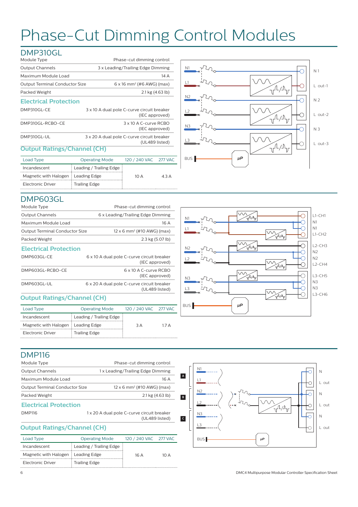# Phase-Cut Dimming Control Modules

#### DMP310GL

| Module Type                                 | Phase-cut dimming control                                    |
|---------------------------------------------|--------------------------------------------------------------|
| <b>Output Channels</b>                      | 3 x Leading/Trailing Edge Dimming                            |
| Maximum Module Load                         | 14 A                                                         |
| <b>Output Terminal Conductor Size</b>       | $6 \times 16$ mm <sup>2</sup> (#6 AWG) (max)                 |
| Packed Weight<br>$2.1 \text{ kg}$ (4.63 lb) |                                                              |
| <b>Electrical Protection</b>                |                                                              |
| DMP310GL-CE                                 | 3 x 10 A dual pole C-curve circuit breaker<br>(IEC approved) |
| DMP310GL-RCBO-CE                            | 3 x 10 A C-curve RCBO<br>(IEC approved)                      |
| DMP310GL-UL                                 | 3 x 20 A dual pole C-curve circuit breaker<br>(UL489 listed) |

#### **Output Ratings/Channel (CH)**

| Load Type                            | <b>Operating Mode</b>   | 120 / 240 VAC 277 VAC |                           |
|--------------------------------------|-------------------------|-----------------------|---------------------------|
| Incandescent                         | Leading / Trailing Edge |                       |                           |
| Magnetic with Halogen : Leading Edge |                         | 10 A                  | $\triangle$ 3 $\triangle$ |
| Electronic Driver                    | <b>Trailing Edge</b>    |                       |                           |



#### DMP603GL

| Module Type                        | Phase-cut dimming control                                    |
|------------------------------------|--------------------------------------------------------------|
| <b>Output Channels</b>             | 6 x Leading/Trailing Edge Dimming                            |
| Maximum Module Load                | 16 A                                                         |
| Output Terminal Conductor Size     | $12 \times 6$ mm <sup>2</sup> (#10 AWG) (max)                |
| Packed Weight                      | 2.3 kg (5.07 lb)                                             |
| <b>Electrical Protection</b>       |                                                              |
| DMP603GL-CE                        | 6 x 10 A dual pole C-curve circuit breaker<br>(IEC approved) |
| DMP603GL-RCBO-CE                   | 6 x 10 A C-curve RCBO<br>(IEC approved)                      |
| DMP603GL-UL                        | 6 x 20 A dual pole C-curve circuit breaker<br>(UL489 listed) |
| <b>Output Ratings/Channel (CH)</b> |                                                              |

#### **Output Ratings/Channel (CH)**

| <b>Operating Mode</b>                |     |                       |
|--------------------------------------|-----|-----------------------|
| Leading / Trailing Edge              |     |                       |
| Magnetic with Halogen : Leading Edge | 3 A | 17 A                  |
| <b>Trailing Edge</b>                 |     |                       |
|                                      |     | 120 / 240 VAC 277 VAC |



### DMP116

| Phase-cut dimming control                                                              |  |
|----------------------------------------------------------------------------------------|--|
| 1 x Leading/Trailing Edge Dimming                                                      |  |
| 16 A                                                                                   |  |
| $12 \times 6$ mm <sup>2</sup> (#10 AWG) (max)<br><b>Output Terminal Conductor Size</b> |  |
| $2.1 \text{ kg} (4.63 \text{ lb})$                                                     |  |
|                                                                                        |  |
| 1 x 20 A dual pole C-curve circuit breaker<br>(UL489 listed)                           |  |
|                                                                                        |  |

#### **Output Ratings/Channel (CH)**

| <b>Operating Mode</b>                |     |                       |
|--------------------------------------|-----|-----------------------|
| Leading / Trailing Edge              |     |                       |
| Magnetic with Halogen : Leading Edge | 16A | 1N A                  |
| <b>Trailing Edge</b>                 |     |                       |
|                                      |     | 120 / 240 VAC 277 VAC |

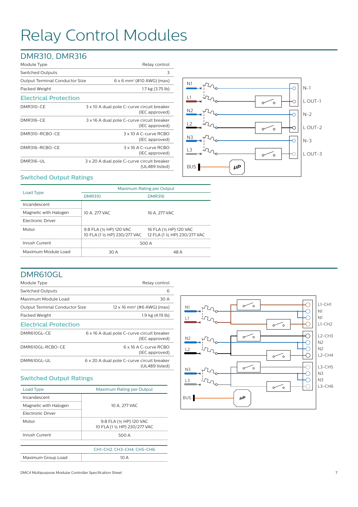# Relay Control Modules

### DMR310, DMR316

| Module Type                           | Relay control                                                |
|---------------------------------------|--------------------------------------------------------------|
| <b>Switched Outputs</b>               | 3                                                            |
| <b>Output Terminal Conductor Size</b> | $6 \times 6$ mm <sup>2</sup> (#10 AWG) (max)                 |
| Packed Weight                         | 1.7 kg (3.75 lb)                                             |
| <b>Electrical Protection</b>          |                                                              |
| <b>DMR310-CE</b>                      | 3 x 10 A dual pole C-curve circuit breaker<br>(IEC approved) |
| <b>DMR316-CE</b>                      | 3 x 16 A dual pole C-curve circuit breaker<br>(IEC approved) |
| DMR310-RCBO-CE                        | 3 x 10 A C-curve RCBO<br>(IEC approved)                      |
| DMR316-RCBO-CE                        | 3 x 16 A C-curve RCBO<br>(IEC approved)                      |
| <b>DMR316-UL</b>                      | 3 x 20 A dual pole C-curve circuit breaker<br>(UL489 listed) |



#### **Switched Output Ratings**

|                       | Maximum Rating per Output                                                               |                         |  |
|-----------------------|-----------------------------------------------------------------------------------------|-------------------------|--|
| Load Type             | <b>DMR310</b>                                                                           | <b>DMR316</b>           |  |
| Incandescent          |                                                                                         |                         |  |
| Magnetic with Halogen | 10 A. 277 VAC                                                                           | 16 A. 277 VAC           |  |
| Electronic Driver     |                                                                                         |                         |  |
| Motor                 | 9.8 FLA (1/2 HP) 120 VAC<br>10 FLA (1 1/2 HP) 230/277 VAC 12 FLA (1 1/2 HP) 230/277 VAC | 16 FLA (1/2 HP) 120 VAC |  |
| Inrush Current        | 500 A                                                                                   |                         |  |
| Maximum Module Load   | 30 A                                                                                    | 48 A                    |  |

#### DMR610GL

| Module Type                           | Relay control                                                |
|---------------------------------------|--------------------------------------------------------------|
| <b>Switched Outputs</b>               | 6                                                            |
| Maximum Module Load                   | 30 A                                                         |
| <b>Output Terminal Conductor Size</b> | $12 \times 16$ mm <sup>2</sup> (#6 AWG) (max)                |
| Packed Weight                         | 1.9 kg (4.19 lb)                                             |
| <b>Electrical Protection</b>          |                                                              |
| DMR610GL-CE                           | 6 x 16 A dual pole C-curve circuit breaker<br>(IEC approved) |
| DMR610GL-RCBO-CE                      | 6 x 16 A C-curve RCBO<br>(IEC approved)                      |
| DMR610GL-UL                           | 6 x 20 A dual pole C-curve circuit breaker<br>(UL489 listed) |
|                                       |                                                              |

#### **Switched Output Ratings**

| Load Type                | Maximum Rating per Output                                 |  |
|--------------------------|-----------------------------------------------------------|--|
| Incandescent             |                                                           |  |
| Magnetic with Halogen    | 10 A. 277 VAC                                             |  |
| <b>Flectronic Driver</b> |                                                           |  |
| Motor                    | 9.8 FLA (1/2 HP) 120 VAC<br>10 FLA (1 1/2 HP) 230/277 VAC |  |
| Inrush Current           | 500 A                                                     |  |
|                          |                                                           |  |
|                          | CH1-CH2. CH3-CH4. CH5-CH6                                 |  |
| Maximum Group Load       | 10 A                                                      |  |



DMC4 Multipurpose Modular Controller Specification Sheet 7